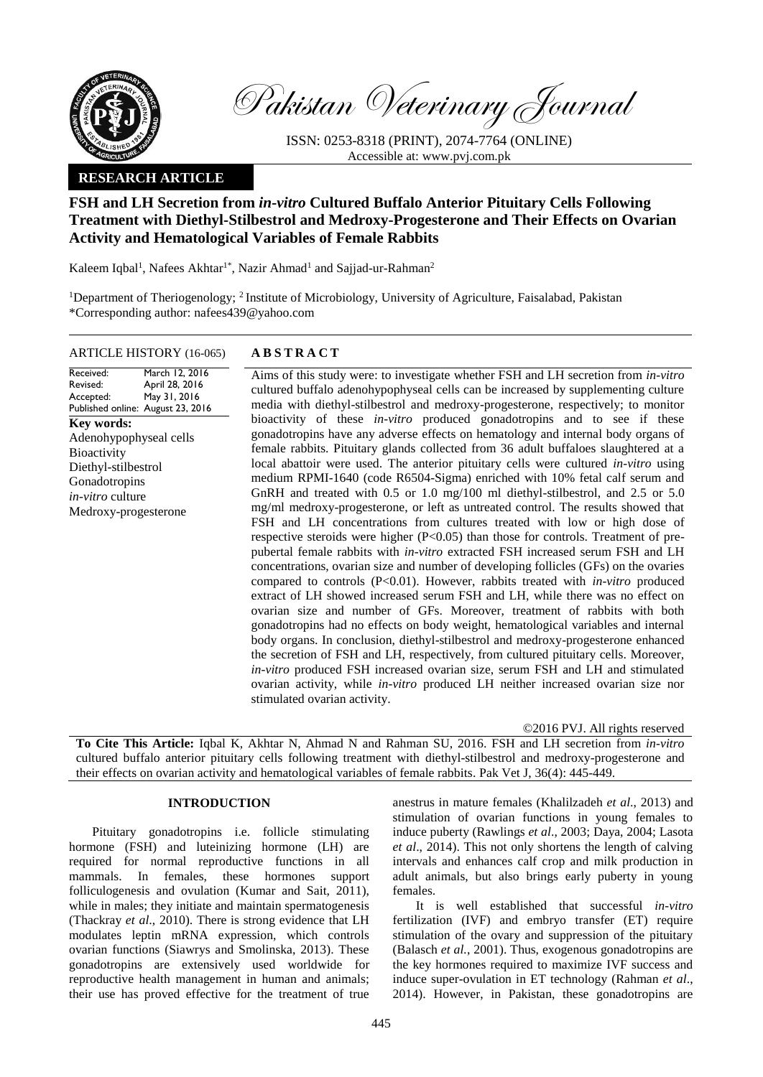

Pakistan Veterinary Journal

ISSN: 0253-8318 (PRINT), 2074-7764 (ONLINE) Accessible at: [www.pvj.com.pk](http://www.pvj.com.pk/)

## **RESEARCH ARTICLE**

# **FSH and LH Secretion from** *in-vitro* **Cultured Buffalo Anterior Pituitary Cells Following Treatment with Diethyl-Stilbestrol and Medroxy-Progesterone and Their Effects on Ovarian Activity and Hematological Variables of Female Rabbits**

Kaleem Iqbal<sup>1</sup>, Nafees Akhtar<sup>1\*</sup>, Nazir Ahmad<sup>1</sup> and Sajjad-ur-Rahman<sup>2</sup>

<sup>1</sup>Department of Theriogenology; <sup>2</sup>Institute of Microbiology, University of Agriculture, Faisalabad, Pakistan \*Corresponding author: nafees439@yahoo.com

## ARTICLE HISTORY (16-065) **A B S T R A C T**

Received: Revised: Accepted: Published online: August 23, 2016 March 12, 2016 April 28, 2016 May 31, 2016 **Key words:**  Adenohypophyseal cells **Bioactivity** Diethyl-stilbestrol **Gonadotropins** *in-vitro* culture Medroxy-progesterone

Aims of this study were: to investigate whether FSH and LH secretion from *in-vitro* cultured buffalo adenohypophyseal cells can be increased by supplementing culture media with diethyl-stilbestrol and medroxy-progesterone, respectively; to monitor bioactivity of these *in-vitro* produced gonadotropins and to see if these gonadotropins have any adverse effects on hematology and internal body organs of female rabbits. Pituitary glands collected from 36 adult buffaloes slaughtered at a local abattoir were used. The anterior pituitary cells were cultured *in-vitro* using medium RPMI-1640 (code R6504-Sigma) enriched with 10% fetal calf serum and GnRH and treated with 0.5 or 1.0 mg/100 ml diethyl-stilbestrol, and 2.5 or 5.0 mg/ml medroxy-progesterone, or left as untreated control. The results showed that FSH and LH concentrations from cultures treated with low or high dose of respective steroids were higher  $(P<0.05)$  than those for controls. Treatment of prepubertal female rabbits with *in-vitro* extracted FSH increased serum FSH and LH concentrations, ovarian size and number of developing follicles (GFs) on the ovaries compared to controls (P<0.01). However, rabbits treated with *in-vitro* produced extract of LH showed increased serum FSH and LH, while there was no effect on ovarian size and number of GFs. Moreover, treatment of rabbits with both gonadotropins had no effects on body weight, hematological variables and internal body organs. In conclusion, diethyl-stilbestrol and medroxy-progesterone enhanced the secretion of FSH and LH, respectively, from cultured pituitary cells. Moreover, *in-vitro* produced FSH increased ovarian size, serum FSH and LH and stimulated ovarian activity, while *in-vitro* produced LH neither increased ovarian size nor stimulated ovarian activity.

©2016 PVJ. All rights reserved

**To Cite This Article:** Iqbal K, Akhtar N, Ahmad N and Rahman SU, 2016. FSH and LH secretion from *in-vitro* cultured buffalo anterior pituitary cells following treatment with diethyl-stilbestrol and medroxy-progesterone and their effects on ovarian activity and hematological variables of female rabbits. Pak Vet J, 36(4): 445-449.

## **INTRODUCTION**

Pituitary gonadotropins i.e. follicle stimulating hormone (FSH) and luteinizing hormone (LH) are required for normal reproductive functions in all mammals. In females, these hormones support folliculogenesis and ovulation (Kumar and Sait, 2011), while in males; they initiate and maintain spermatogenesis (Thackray *et al*., 2010). There is strong evidence that LH modulates leptin mRNA expression, which controls ovarian functions (Siawrys and Smolinska, 2013). These gonadotropins are extensively used worldwide for reproductive health management in human and animals; their use has proved effective for the treatment of true

anestrus in mature females (Khalilzadeh *et al*., 2013) and stimulation of ovarian functions in young females to induce puberty (Rawlings *et al*., 2003; Daya, 2004; Lasota *et al*., 2014). This not only shortens the length of calving intervals and enhances calf crop and milk production in adult animals, but also brings early puberty in young females.

It is well established that successful *in-vitro* fertilization (IVF) and embryo transfer (ET) require stimulation of the ovary and suppression of the pituitary (Balasch *et al.*, 2001). Thus, exogenous gonadotropins are the key hormones required to maximize IVF success and induce super-ovulation in ET technology (Rahman *et al*., 2014). However, in Pakistan, these gonadotropins are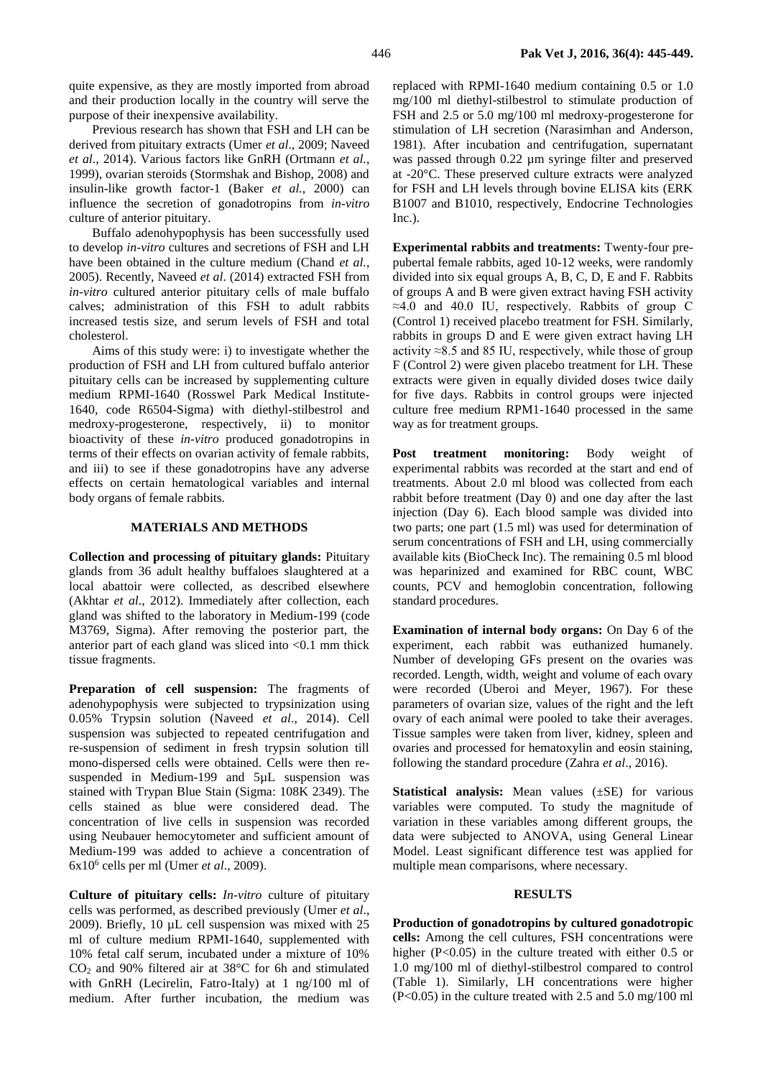quite expensive, as they are mostly imported from abroad and their production locally in the country will serve the purpose of their inexpensive availability.

Previous research has shown that FSH and LH can be derived from pituitary extracts (Umer *et al*., 2009; Naveed *et al*., 2014). Various factors like GnRH (Ortmann *et al.*, 1999), ovarian steroids (Stormshak and Bishop, 2008) and insulin-like growth factor-1 (Baker *et al.*, 2000) can influence the secretion of gonadotropins from *in-vitro* culture of anterior pituitary.

Buffalo adenohypophysis has been successfully used to develop *in-vitro* cultures and secretions of FSH and LH have been obtained in the culture medium (Chand *et al.*, 2005). Recently, Naveed *et al*. (2014) extracted FSH from *in-vitro* cultured anterior pituitary cells of male buffalo calves; administration of this FSH to adult rabbits increased testis size, and serum levels of FSH and total cholesterol.

Aims of this study were: i) to investigate whether the production of FSH and LH from cultured buffalo anterior pituitary cells can be increased by supplementing culture medium RPMI-1640 (Rosswel Park Medical Institute-1640, code R6504-Sigma) with diethyl-stilbestrol and medroxy-progesterone, respectively, ii) to monitor bioactivity of these *in-vitro* produced gonadotropins in terms of their effects on ovarian activity of female rabbits, and iii) to see if these gonadotropins have any adverse effects on certain hematological variables and internal body organs of female rabbits.

### **MATERIALS AND METHODS**

**Collection and processing of pituitary glands:** Pituitary glands from 36 adult healthy buffaloes slaughtered at a local abattoir were collected, as described elsewhere (Akhtar *et al*., 2012). Immediately after collection, each gland was shifted to the laboratory in Medium-199 (code M3769, Sigma). After removing the posterior part, the anterior part of each gland was sliced into <0.1 mm thick tissue fragments.

Preparation of cell suspension: The fragments of adenohypophysis were subjected to trypsinization using 0.05% Trypsin solution (Naveed *et al*., 2014). Cell suspension was subjected to repeated centrifugation and re-suspension of sediment in fresh trypsin solution till mono-dispersed cells were obtained. Cells were then resuspended in Medium-199 and 5µL suspension was stained with Trypan Blue Stain (Sigma: 108K 2349). The cells stained as blue were considered dead. The concentration of live cells in suspension was recorded using Neubauer hemocytometer and sufficient amount of Medium-199 was added to achieve a concentration of 6x10<sup>6</sup> cells per ml (Umer *et al*., 2009).

**Culture of pituitary cells:** *In-vitro* culture of pituitary cells was performed, as described previously (Umer *et al*., 2009). Briefly, 10 µL cell suspension was mixed with 25 ml of culture medium RPMI-1640, supplemented with 10% fetal calf serum, incubated under a mixture of 10%  $CO<sub>2</sub>$  and 90% filtered air at 38 $\degree$ C for 6h and stimulated with GnRH (Lecirelin, Fatro-Italy) at 1 ng/100 ml of medium. After further incubation, the medium was

replaced with RPMI-1640 medium containing 0.5 or 1.0 mg/100 ml diethyl-stilbestrol to stimulate production of FSH and 2.5 or 5.0 mg/100 ml medroxy-progesterone for stimulation of LH secretion (Narasimhan and Anderson, 1981). After incubation and centrifugation, supernatant was passed through 0.22  $\mu$ m syringe filter and preserved at -20°C. These preserved culture extracts were analyzed for FSH and LH levels through bovine ELISA kits (ERK B1007 and B1010, respectively, Endocrine Technologies Inc.).

**Experimental rabbits and treatments:** Twenty-four prepubertal female rabbits, aged 10-12 weeks, were randomly divided into six equal groups A, B, C, D, E and F. Rabbits of groups A and B were given extract having FSH activity ≈4.0 and 40.0 IU, respectively. Rabbits of group C (Control 1) received placebo treatment for FSH. Similarly, rabbits in groups D and E were given extract having LH activity  $\approx$ 8.5 and 85 IU, respectively, while those of group F (Control 2) were given placebo treatment for LH. These extracts were given in equally divided doses twice daily for five days. Rabbits in control groups were injected culture free medium RPM1-1640 processed in the same way as for treatment groups.

Post treatment monitoring: Body weight of experimental rabbits was recorded at the start and end of treatments. About 2.0 ml blood was collected from each rabbit before treatment (Day 0) and one day after the last injection (Day 6). Each blood sample was divided into two parts; one part (1.5 ml) was used for determination of serum concentrations of FSH and LH, using commercially available kits (BioCheck Inc). The remaining 0.5 ml blood was heparinized and examined for RBC count, WBC counts, PCV and hemoglobin concentration, following standard procedures.

**Examination of internal body organs:** On Day 6 of the experiment, each rabbit was euthanized humanely. Number of developing GFs present on the ovaries was recorded. Length, width, weight and volume of each ovary were recorded (Uberoi and Meyer, 1967). For these parameters of ovarian size, values of the right and the left ovary of each animal were pooled to take their averages. Tissue samples were taken from liver, kidney, spleen and ovaries and processed for hematoxylin and eosin staining, following the standard procedure (Zahra *et al*., 2016).

**Statistical analysis:** Mean values ( $\pm$ SE) for various variables were computed. To study the magnitude of variation in these variables among different groups, the data were subjected to ANOVA, using General Linear Model. Least significant difference test was applied for multiple mean comparisons, where necessary.

#### **RESULTS**

**Production of gonadotropins by cultured gonadotropic cells:** Among the cell cultures, FSH concentrations were higher (P<0.05) in the culture treated with either 0.5 or 1.0 mg/100 ml of diethyl-stilbestrol compared to control (Table 1). Similarly, LH concentrations were higher (P<0.05) in the culture treated with 2.5 and 5.0 mg/100 ml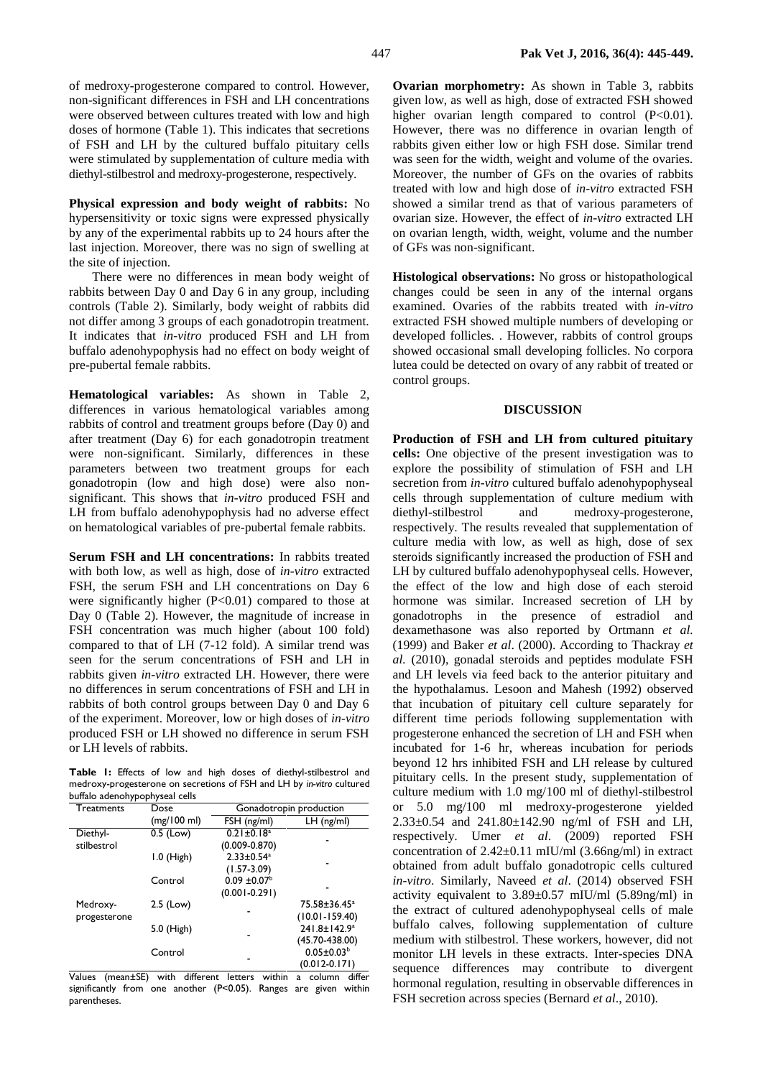of medroxy-progesterone compared to control. However, non-significant differences in FSH and LH concentrations were observed between cultures treated with low and high doses of hormone (Table 1). This indicates that secretions of FSH and LH by the cultured buffalo pituitary cells were stimulated by supplementation of culture media with diethyl-stilbestrol and medroxy-progesterone, respectively.

**Physical expression and body weight of rabbits:** No hypersensitivity or toxic signs were expressed physically by any of the experimental rabbits up to 24 hours after the last injection. Moreover, there was no sign of swelling at the site of injection.

There were no differences in mean body weight of rabbits between Day 0 and Day 6 in any group, including controls (Table 2). Similarly, body weight of rabbits did not differ among 3 groups of each gonadotropin treatment. It indicates that *in-vitro* produced FSH and LH from buffalo adenohypophysis had no effect on body weight of pre-pubertal female rabbits.

**Hematological variables:** As shown in Table 2, differences in various hematological variables among rabbits of control and treatment groups before (Day 0) and after treatment (Day 6) for each gonadotropin treatment were non-significant. Similarly, differences in these parameters between two treatment groups for each gonadotropin (low and high dose) were also nonsignificant. This shows that *in-vitro* produced FSH and LH from buffalo adenohypophysis had no adverse effect on hematological variables of pre-pubertal female rabbits.

**Serum FSH and LH concentrations:** In rabbits treated with both low, as well as high, dose of *in-vitro* extracted FSH, the serum FSH and LH concentrations on Day 6 were significantly higher (P<0.01) compared to those at Day 0 (Table 2). However, the magnitude of increase in FSH concentration was much higher (about 100 fold) compared to that of LH (7-12 fold). A similar trend was seen for the serum concentrations of FSH and LH in rabbits given *in-vitro* extracted LH. However, there were no differences in serum concentrations of FSH and LH in rabbits of both control groups between Day 0 and Day 6 of the experiment. Moreover, low or high doses of *in-vitro* produced FSH or LH showed no difference in serum FSH or LH levels of rabbits.

**Table 1:** Effects of low and high doses of diethyl-stilbestrol and medroxy-progesterone on secretions of FSH and LH by *in-vitro* cultured buffalo adenohypophyseal cells

| Treatments               | Dose         | Gonadotropin production                           |                                                |  |  |  |
|--------------------------|--------------|---------------------------------------------------|------------------------------------------------|--|--|--|
|                          | (mg/100 ml)  | FSH (ng/ml)                                       | $LH$ (ng/ml)                                   |  |  |  |
| Diethyl-<br>stilbestrol  | 0.5 (Low)    | $0.21 \pm 0.18$ <sup>a</sup><br>$(0.009 - 0.870)$ |                                                |  |  |  |
|                          | $1.0$ (High) | $2.33 \pm 0.54$ <sup>a</sup><br>$(1.57 - 3.09)$   |                                                |  |  |  |
|                          | Control      | $0.09 \pm 0.07^{\text{b}}$<br>$(0.001 - 0.291)$   |                                                |  |  |  |
| Medroxy-<br>progesterone | $2.5$ (Low)  |                                                   | 75.58±36.45 <sup>a</sup><br>$(10.01 - 159.40)$ |  |  |  |
|                          | 5.0 (High)   |                                                   | 241.8±142.9 <sup>a</sup><br>$(45.70 - 438.00)$ |  |  |  |
|                          | Control      |                                                   | $0.05 \pm 0.03^b$<br>$(0.012 - 0.171)$         |  |  |  |

Values (mean±SE) with different letters within a column differ significantly from one another (P<0.05). Ranges are given within parentheses.

**Ovarian morphometry:** As shown in Table 3, rabbits given low, as well as high, dose of extracted FSH showed higher ovarian length compared to control (P<0.01). However, there was no difference in ovarian length of rabbits given either low or high FSH dose. Similar trend was seen for the width, weight and volume of the ovaries. Moreover, the number of GFs on the ovaries of rabbits treated with low and high dose of *in-vitro* extracted FSH showed a similar trend as that of various parameters of ovarian size. However, the effect of *in-vitro* extracted LH on ovarian length, width, weight, volume and the number of GFs was non-significant.

**Histological observations:** No gross or histopathological changes could be seen in any of the internal organs examined. Ovaries of the rabbits treated with *in-vitro* extracted FSH showed multiple numbers of developing or developed follicles. . However, rabbits of control groups showed occasional small developing follicles. No corpora lutea could be detected on ovary of any rabbit of treated or control groups.

#### **DISCUSSION**

**Production of FSH and LH from cultured pituitary cells:** One objective of the present investigation was to explore the possibility of stimulation of FSH and LH secretion from *in-vitro* cultured buffalo adenohypophyseal cells through supplementation of culture medium with diethyl-stilbestrol and medroxy-progesterone, respectively. The results revealed that supplementation of culture media with low, as well as high, dose of sex steroids significantly increased the production of FSH and LH by cultured buffalo adenohypophyseal cells. However, the effect of the low and high dose of each steroid hormone was similar. Increased secretion of LH by gonadotrophs in the presence of estradiol and dexamethasone was also reported by Ortmann *et al.* (1999) and Baker *et al*. (2000). According to Thackray *et al.* (2010), gonadal steroids and peptides modulate FSH and LH levels via feed back to the anterior pituitary and the hypothalamus. Lesoon and Mahesh (1992) observed that incubation of pituitary cell culture separately for different time periods following supplementation with progesterone enhanced the secretion of LH and FSH when incubated for 1-6 hr, whereas incubation for periods beyond 12 hrs inhibited FSH and LH release by cultured pituitary cells. In the present study, supplementation of culture medium with 1.0 mg/100 ml of diethyl-stilbestrol or 5.0 mg/100 ml medroxy-progesterone yielded 2.33±0.54 and 241.80±142.90 ng/ml of FSH and LH, respectively. Umer *et al*. (2009) reported FSH concentration of 2.42±0.11 mIU/ml (3.66ng/ml) in extract obtained from adult buffalo gonadotropic cells cultured *in-vitro*. Similarly, Naveed *et al*. (2014) observed FSH activity equivalent to 3.89±0.57 mIU/ml (5.89ng/ml) in the extract of cultured adenohypophyseal cells of male buffalo calves, following supplementation of culture medium with stilbestrol. These workers, however, did not monitor LH levels in these extracts. Inter-species DNA sequence differences may contribute to divergent hormonal regulation, resulting in observable differences in FSH secretion across species (Bernard *et al*., 2010).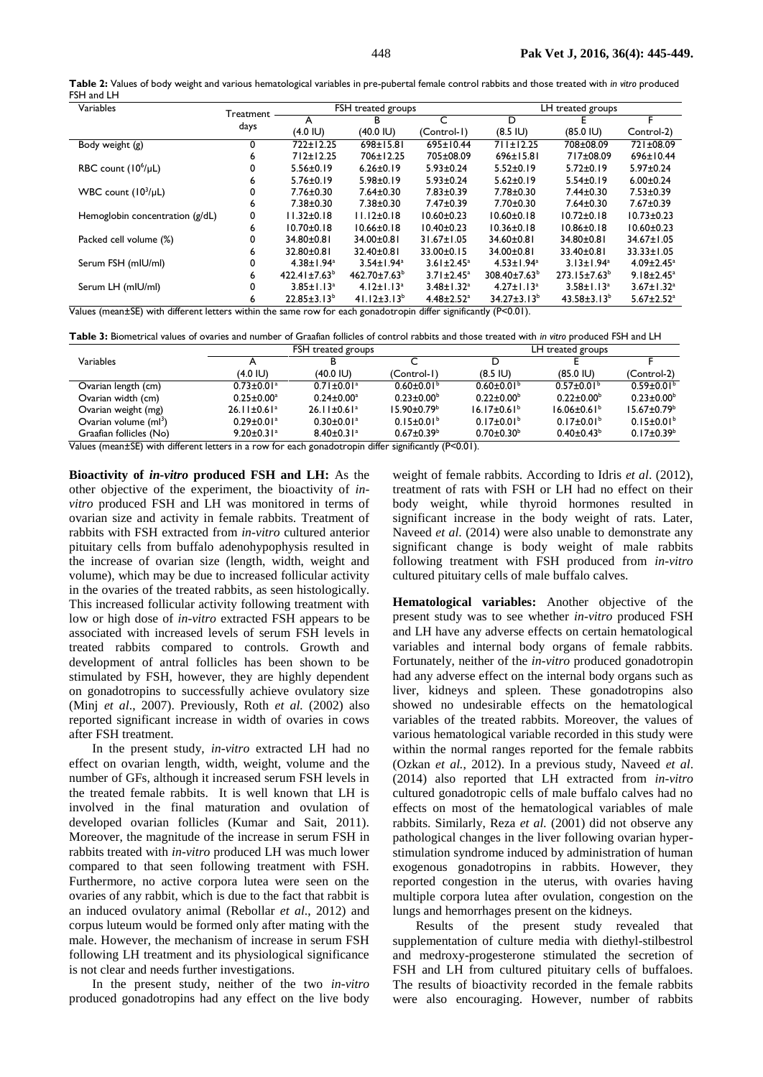| Table 2: Values of body weight and various hematological variables in pre-pubertal female control rabbits and those treated with in vitro produced |  |  |
|----------------------------------------------------------------------------------------------------------------------------------------------------|--|--|
| FSH and LH                                                                                                                                         |  |  |

| Variables                                                         | Treatment | FSH treated groups           |                              | LH treated groups            |                              |                              |                              |
|-------------------------------------------------------------------|-----------|------------------------------|------------------------------|------------------------------|------------------------------|------------------------------|------------------------------|
|                                                                   | days      | А                            | B                            | C                            | D                            |                              |                              |
|                                                                   |           | $(4.0 \, \text{IU})$         | (40.0 IU)                    | (Control-1)                  | $(8.5 \, IU)$                | $(85.0 \, \text{IU})$        | Control-2)                   |
| Body weight (g)                                                   | 0         | 722±12.25                    | 698±15.81                    | 695±10.44                    | 711±12.25                    | 708±08.09                    | 721±08.09                    |
|                                                                   | 6         | $712 \pm 12.25$              | 706±12.25                    | 705±08.09                    | $696 \pm 15.81$              | 717±08.09                    | 696±10.44                    |
| RBC count (10 <sup>6</sup> /µL)                                   | 0         | $5.56 \pm 0.19$              | $6.26 \pm 0.19$              | $5.93 \pm 0.24$              | $5.52 \pm 0.19$              | $5.72 \pm 0.19$              | $5.97 \pm 0.24$              |
|                                                                   | 6         | $5.76 \pm 0.19$              | $5.98 \pm 0.19$              | $5.93 \pm 0.24$              | $5.62 \pm 0.19$              | $5.54 \pm 0.19$              | $6.00 \pm 0.24$              |
| WBC count $(10^3/\mu L)$                                          | 0         | $7.76 \pm 0.30$              | $7.64 \pm 0.30$              | $7.83 \pm 0.39$              | $7.78 \pm 0.30$              | $7.44 \pm 0.30$              | $7.53 \pm 0.39$              |
|                                                                   | ь         | $7.38 \pm 0.30$              | $7.38 \pm 0.30$              | $7.47 \pm 0.39$              | $7.70 \pm 0.30$              | $7.64 \pm 0.30$              | $7.67 \pm 0.39$              |
| Hemoglobin concentration (g/dL)                                   | 0         | $11.32 \pm 0.18$             | $11.12 \pm 0.18$             | $10.60 \pm 0.23$             | $10.60 \pm 0.18$             | $10.72 \pm 0.18$             | $10.73 \pm 0.23$             |
|                                                                   | 6         | $10.70 \pm 0.18$             | $10.66 \pm 0.18$             | $10.40 \pm 0.23$             | $10.36 \pm 0.18$             | $10.86 \pm 0.18$             | $10.60 \pm 0.23$             |
| Packed cell volume (%)                                            | 0         | 34.80±0.81                   | 34.00±0.81                   | $31.67 \pm 1.05$             | 34.60±0.81                   | 34.80±0.81                   | $34.67 \pm 1.05$             |
|                                                                   | 6         | $32.80 + 0.81$               | $32.40 \pm 0.81$             | $33.00 \pm 0.15$             | 34.00±0.81                   | 33.40±0.81                   | $33.33 \pm 1.05$             |
| Serum FSH (mIU/ml)                                                | 0         | $4.38 \pm 1.94$ <sup>a</sup> | $3.54 \pm 1.94$ <sup>a</sup> | $3.61 \pm 2.45^a$            | $4.53 \pm 1.94$ <sup>a</sup> | $3.13 \pm 1.94$ <sup>a</sup> | $4.09 \pm 2.45$ <sup>a</sup> |
|                                                                   | 6         | $422.41 \pm 7.63^b$          | $462.70 \pm 7.63^b$          | $3.71 \pm 2.45^a$            | $308.40 \pm 7.63^b$          | 273.15±7.63 <sup>b</sup>     | $9.18 \pm 2.45^a$            |
| Serum LH (mIU/ml)                                                 | 0         | $3.85 \pm 1.13^a$            | $4.12 \pm 1.13$ <sup>a</sup> | $3.48 \pm 1.32^a$            | $4.27 \pm 1.13$ <sup>a</sup> | $3.58 \pm 1.13^a$            | $3.67 \pm 1.32$ <sup>a</sup> |
| .<br>$- -$<br>$\sim$ $\sim$ $\sim$ $\sim$ $\sim$ $\sim$<br>$\sim$ | 6         | $22.85 \pm 3.13^b$           | $41.12 \pm 3.13^b$           | $4.48 \pm 2.52$ <sup>a</sup> | $34.27 \pm 3.13^b$           | $43.58 \pm 3.13^b$           | $5.67 \pm 2.52$ <sup>a</sup> |

Values (mean±SE) with different letters within the same row for each gonadotropin differ significantly (P<0.01).

**Table 3:** Biometrical values of ovaries and number of Graafian follicles of control rabbits and those treated with *in vitro* produced FSH and LH

|                                                                                                      | FSH treated groups            |                               |                              | LH treated groups            |                               |                              |
|------------------------------------------------------------------------------------------------------|-------------------------------|-------------------------------|------------------------------|------------------------------|-------------------------------|------------------------------|
| Variables                                                                                            |                               |                               |                              | D                            |                               |                              |
|                                                                                                      | (4.0 IU)                      | $(40.0 \, \text{IU})$         | (Control-1)                  | $(8.5 \, IU)$                | $(85.0 \,   \cup)$            | (Control-2)                  |
| Ovarian length (cm)                                                                                  | $0.73 \pm 0.01$ <sup>a</sup>  | $0.71 \pm 0.01$ <sup>a</sup>  | $0.60 \pm 0.01$ <sup>b</sup> | $0.60 \pm 0.01$ <sup>b</sup> | $0.57 \pm 0.01^{\circ}$       | $0.59 \pm 0.01$ <sup>b</sup> |
| Ovarian width (cm)                                                                                   | $0.25 \pm 0.00$ <sup>a</sup>  | $0.24 \pm 0.00^a$             | $0.23 \pm 0.00^{\circ}$      | $0.22 \pm 0.00^{\circ}$      | $0.22 \pm 0.00^{\circ}$       | $0.23 \pm 0.00^{\circ}$      |
| Ovarian weight (mg)                                                                                  | $26.11 \pm 0.61$ <sup>a</sup> | $26.11 \pm 0.61$ <sup>a</sup> | $15.90 \pm 0.79^{\circ}$     | $16.17 \pm 0.61^{\circ}$     | $16.06 \pm 0.61$ <sup>b</sup> | $15.67 \pm 0.79^{\circ}$     |
| Ovarian volume (ml <sup>3</sup> )                                                                    | $0.29 \pm 0.01$ <sup>a</sup>  | $0.30 \pm 0.01$ <sup>a</sup>  | $0.15 \pm 0.01^b$            | $0.17 \pm 0.01^{\circ}$      | $0.17 \pm 0.01^{\circ}$       | $0.15 \pm 0.01^b$            |
| Graafian follicles (No)                                                                              | $9.20 \pm 0.31$ <sup>a</sup>  | $8.40 \pm 0.31$ <sup>a</sup>  | $0.67 \pm 0.39^{\rm b}$      | $0.70 \pm 0.30^{\circ}$      | $0.40 \pm 0.43^b$             | $0.17 \pm 0.39^{\circ}$      |
| Values (mean+SE) with different letters in a row for each gonadotropin differ significantly (P<0.01) |                               |                               |                              |                              |                               |                              |

IE) with different letters in a row for each gonadotropin differ significantly (P<0.01).

**Bioactivity of** *in-vitro* **produced FSH and LH:** As the other objective of the experiment, the bioactivity of *invitro* produced FSH and LH was monitored in terms of ovarian size and activity in female rabbits. Treatment of rabbits with FSH extracted from *in-vitro* cultured anterior pituitary cells from buffalo adenohypophysis resulted in the increase of ovarian size (length, width, weight and volume), which may be due to increased follicular activity in the ovaries of the treated rabbits, as seen histologically. This increased follicular activity following treatment with low or high dose of *in-vitro* extracted FSH appears to be associated with increased levels of serum FSH levels in treated rabbits compared to controls. Growth and development of antral follicles has been shown to be stimulated by FSH, however, they are highly dependent on gonadotropins to successfully achieve ovulatory size (Minj *et al*., 2007). Previously, Roth *et al.* (2002) also reported significant increase in width of ovaries in cows after FSH treatment.

In the present study, *in-vitro* extracted LH had no effect on ovarian length, width, weight, volume and the number of GFs, although it increased serum FSH levels in the treated female rabbits. It is well known that LH is involved in the final maturation and ovulation of developed ovarian follicles (Kumar and Sait, 2011). Moreover, the magnitude of the increase in serum FSH in rabbits treated with *in-vitro* produced LH was much lower compared to that seen following treatment with FSH. Furthermore, no active corpora lutea were seen on the ovaries of any rabbit, which is due to the fact that rabbit is an induced ovulatory animal (Rebollar *et al*., 2012) and corpus luteum would be formed only after mating with the male. However, the mechanism of increase in serum FSH following LH treatment and its physiological significance is not clear and needs further investigations.

In the present study, neither of the two *in-vitro* produced gonadotropins had any effect on the live body

weight of female rabbits. According to Idris *et al*. (2012), treatment of rats with FSH or LH had no effect on their body weight, while thyroid hormones resulted in significant increase in the body weight of rats. Later, Naveed *et al*. (2014) were also unable to demonstrate any significant change is body weight of male rabbits following treatment with FSH produced from *in-vitro* cultured pituitary cells of male buffalo calves.

**Hematological variables:** Another objective of the present study was to see whether *in-vitro* produced FSH and LH have any adverse effects on certain hematological variables and internal body organs of female rabbits. Fortunately, neither of the *in-vitro* produced gonadotropin had any adverse effect on the internal body organs such as liver, kidneys and spleen. These gonadotropins also showed no undesirable effects on the hematological variables of the treated rabbits. Moreover, the values of various hematological variable recorded in this study were within the normal ranges reported for the female rabbits (Ozkan *et al.*, 2012). In a previous study, Naveed *et al*. (2014) also reported that LH extracted from *in-vitro* cultured gonadotropic cells of male buffalo calves had no effects on most of the hematological variables of male rabbits. Similarly, Reza *et al.* (2001) did not observe any pathological changes in the liver following ovarian hyperstimulation syndrome induced by administration of human exogenous gonadotropins in rabbits. However, they reported congestion in the uterus, with ovaries having multiple corpora lutea after ovulation, congestion on the lungs and hemorrhages present on the kidneys.

Results of the present study revealed that supplementation of culture media with diethyl-stilbestrol and medroxy-progesterone stimulated the secretion of FSH and LH from cultured pituitary cells of buffaloes. The results of bioactivity recorded in the female rabbits were also encouraging. However, number of rabbits